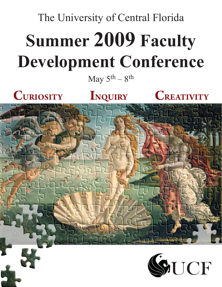# The University of Central Florida **Summer 2009 Faculty Development Conference**

May  $5<sup>th</sup> - 8<sup>th</sup>$ 





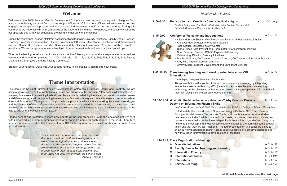*Tuesday, May 5, 2009*

# **8:00-8:30 Registration and Creativity Café: Klassical Knights ►***CL1-104 Lobby*

*Student Performers: Eric Smith - First Violin; Matt Robles - Second Violin; Elizabeth Chaconas -Viola; Yamilet Trujillo - Cello*

### **8:45-9:00 Conference Welcome and Introductions ►***CL1-104*

### • Alison Morrison-Shetlar, Vice Provost and Dean of Undergraduate Studies

- 
- Angel Cardec, Director, International Studies
- Tace Crouse, Director, Faculty Center
- Diane Chase, Vice Provost and Coordinator, Interdisciplinary Initiative
- Sheri Dressler, Director, CO-OP/Experiential Learning
- Valarie King, Director, Diversity Initiatives
- 
- Amy Zeh, Director, Service-Learning
- Jimmy Moore, Student Development and Enrollment Services

• Martha Marinara, Co-Director, Charles Dziuban, Co-Director, Information Fluency

#### **9:00-10:15 Transforming Teaching and Learning using Interactive CBL Simulations**

**►***CL1-104*

*David Segal, College of Health and Public Affairs*

This presentation will show faculty how to improve student learning by integrating interactive case-based learning (CBL) scenarios. An innovative adaptive learning technology will be discussed with a focus on how faculty can implement CBL activities in their own disciplines and assess student learning.

### **10:30-11:30 When did the Muse become a data base? Why Creative Projects Depend on Information Fluency Skills**

**►***CL1-104*

### *Ke Francis, Susan Hubbard, Keith Koons, and Kristina Tollefson, College of Arts and Humanities*

Unfortunately, the Nine Muses of Greek mythology – Calliope, Clio, Erato, Euterpe, Polyhymnia, Melpomene, Terpsichore, Thalia, and Urania – are never around when one needs inspiration! While it is a myth that poets, musicians, dramatists, lyricists, and dancers receive their creative ideas telepathically from spirits or goddesses, many of us hold onto the concept that those whose creativity flourishes are born with some special talent and that their art "just happens." The four presenters on this panel are going to show us how much hard research it takes to be successful in a creative discipline and how they teach information fluency skills to their students.

### **11:45-12:15 Track Organizational Meetings**

- **A. Diversity Initiatives ►***CL1-122*
- **B. Faculty Center for Teaching and Learning ►***CL1-103*
- **C. Information Fluency ►***CL1-120*
- **D. International Studies ►***CL1-218*
- **E. Internships ►***CL1-107*
- **F. Service-Learning ►***CL1-109*

When not attending sessions, participants may use the following rooms to share experiences from various sessions and to work on projects: CL1- 104, 105, 112, 113, 117, 119, 212, 301, 303, 313, 318, 319, Faculty Multimedia Center (202), and the Faculty Center (207).



The theme for the 2009 Summer Faculty Development Conference is Curiosity, Inquiry and Creativity. We are using a jigsaw puzzle as the symbol of our theme and are asking the question, "How does it all fit together?" In planning for classes, in expanding the horizons of our students, in helping them learn to look at information in new and different ways, and in incorporating the elements of curiosity, inquiry and creativity into our classrooms—how does it all fit together? What piece of the puzzle is the project on which you are working this week? How do you add the elements of the conference theme to your already busy schedule of preparation, study, research, and teaching? As we move through the conference, we hope you will find ways to make it all work together and be able to add all of the pieces to your puzzle.

Please accept our invitation to meet new people at the conference by using the enclosed activity card with its networking prompts. Interview each other to find a name for each square in the card. Then, turn in your completed card to the Faculty Center (CL1-207) by noon on Friday to participate in one of our prize drawings.

**...additional Tuesday sessions on the next page.**

# **Welcome**

Welcome to the 2009 Summer Faculty Development Conference. Working and sharing with colleagues from across the university and staff from various support offices at UCF can be a difficult task when we all become engaged in our personal projects and classes and find ourselves "stuck" in our departments. During this conference we hope you will avail yourselves of the opportunities to meet new people, and become inspired by our speakers and what your colleagues are doing in other parts of the campus.

During the conference, support staff from Assessment and Planning, Diversity Initiatives, Faculty Center, Service-Learning, Internships, Information Fluency, International Studies, Operational Excellence and Assessment Support, Course Development and Web Services, and the Office of Instructional Resources will be available to assist you. We encourage you to take advantage of these professionals and see how they can help you.

Broaden your horizons. Delve into your curious nature. Think creatively. Inquire into new areas.

*You would call the foam real, the sea real, real the conch shell and real the blowing wind; you would see the lightning in the goddess's eyes, the sky and the elements laughing about her; the Hours treading the beach in white garments, the breeze curling their loosened and flowing hair; their faces not one, not different, as befits sisters.*

– Angelo Poliziano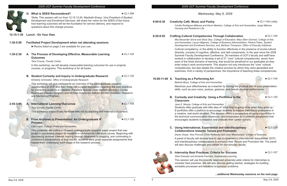

| *Note: This session will run from 12:15-12:45. Maribeth Ehasz, Vice President of Student<br>Development and Enrollment Services, will share her vision for the SDES of the future,<br>how learning outcomes will be the foundation for service delivery, and respond to<br>questions about this change process.<br><b>Lunch - On Your Own</b><br><b>Facilitated Project Development when not attending sessions</b><br>Rooms listed on page 2 are available for your use.<br>$\blacktriangleright$ CL1-103<br>A. The Process of Developing Effective, Measurable Learning<br><b>Outcomes</b><br>Tace Crouse, Faculty Center<br>In this workshop, we will develop measurable learning outcomes for use in projects,<br>courses, or programs. This workshop is for all tracks.<br>$\blacktriangleright$ CL1-120<br>B. Student Curiosity and Inquiry in Undergraduate Research<br>Kimberly Schneider, Office of Undergraduate Research<br>This workshop will give participants an overview of the undergraduate research<br>opportunities at UCF and then move into a panel discussion regarding the best practices<br>for mentoring students in research. Panelists include Linda Walters (Biology), Cecilia<br>Rodriquez-Milanes (English) and Michael Aldarondo-Jeffries (McNair Scholars/ Research<br>and Mentoring Program).<br><b>A. International Learning Outcomes</b><br>$\blacktriangleright$ CL1-103<br><b>Tace Crouse, Faculty Center</b><br>This workshop is specifically for those who will be teaching with international content.<br><b>B. From Archives to Presentation: An Undergraduate IF</b><br>$\blacktriangleright$ CL1-120<br><b>Process</b><br>Lisa Logan, College of Arts and Humanities<br>This presenter will outline a 15-week undergraduate research paper project that was<br>taught in successive stages for students in an American Literature course. Beginning with<br>discovering archival material, moving through databases to blogging, and culminating in<br>conference presentations of final results, students were given separate assignments that<br>helped them understand each stage of the research process. |               |  | G. What is SDES Reconsidered? | $\blacktriangleright$ CL1-309 |  |  |
|----------------------------------------------------------------------------------------------------------------------------------------------------------------------------------------------------------------------------------------------------------------------------------------------------------------------------------------------------------------------------------------------------------------------------------------------------------------------------------------------------------------------------------------------------------------------------------------------------------------------------------------------------------------------------------------------------------------------------------------------------------------------------------------------------------------------------------------------------------------------------------------------------------------------------------------------------------------------------------------------------------------------------------------------------------------------------------------------------------------------------------------------------------------------------------------------------------------------------------------------------------------------------------------------------------------------------------------------------------------------------------------------------------------------------------------------------------------------------------------------------------------------------------------------------------------------------------------------------------------------------------------------------------------------------------------------------------------------------------------------------------------------------------------------------------------------------------------------------------------------------------------------------------------------------------------------------------------------------------------------------------------------------------------------------------------------------------------------------------------------------------------------------------|---------------|--|-------------------------------|-------------------------------|--|--|
|                                                                                                                                                                                                                                                                                                                                                                                                                                                                                                                                                                                                                                                                                                                                                                                                                                                                                                                                                                                                                                                                                                                                                                                                                                                                                                                                                                                                                                                                                                                                                                                                                                                                                                                                                                                                                                                                                                                                                                                                                                                                                                                                                          |               |  |                               |                               |  |  |
|                                                                                                                                                                                                                                                                                                                                                                                                                                                                                                                                                                                                                                                                                                                                                                                                                                                                                                                                                                                                                                                                                                                                                                                                                                                                                                                                                                                                                                                                                                                                                                                                                                                                                                                                                                                                                                                                                                                                                                                                                                                                                                                                                          | 12:15-1:30    |  |                               |                               |  |  |
|                                                                                                                                                                                                                                                                                                                                                                                                                                                                                                                                                                                                                                                                                                                                                                                                                                                                                                                                                                                                                                                                                                                                                                                                                                                                                                                                                                                                                                                                                                                                                                                                                                                                                                                                                                                                                                                                                                                                                                                                                                                                                                                                                          | $1:30 - 5:00$ |  |                               |                               |  |  |
|                                                                                                                                                                                                                                                                                                                                                                                                                                                                                                                                                                                                                                                                                                                                                                                                                                                                                                                                                                                                                                                                                                                                                                                                                                                                                                                                                                                                                                                                                                                                                                                                                                                                                                                                                                                                                                                                                                                                                                                                                                                                                                                                                          |               |  |                               |                               |  |  |
|                                                                                                                                                                                                                                                                                                                                                                                                                                                                                                                                                                                                                                                                                                                                                                                                                                                                                                                                                                                                                                                                                                                                                                                                                                                                                                                                                                                                                                                                                                                                                                                                                                                                                                                                                                                                                                                                                                                                                                                                                                                                                                                                                          | 1:30-2:30     |  |                               |                               |  |  |
|                                                                                                                                                                                                                                                                                                                                                                                                                                                                                                                                                                                                                                                                                                                                                                                                                                                                                                                                                                                                                                                                                                                                                                                                                                                                                                                                                                                                                                                                                                                                                                                                                                                                                                                                                                                                                                                                                                                                                                                                                                                                                                                                                          |               |  |                               |                               |  |  |
|                                                                                                                                                                                                                                                                                                                                                                                                                                                                                                                                                                                                                                                                                                                                                                                                                                                                                                                                                                                                                                                                                                                                                                                                                                                                                                                                                                                                                                                                                                                                                                                                                                                                                                                                                                                                                                                                                                                                                                                                                                                                                                                                                          |               |  |                               |                               |  |  |
|                                                                                                                                                                                                                                                                                                                                                                                                                                                                                                                                                                                                                                                                                                                                                                                                                                                                                                                                                                                                                                                                                                                                                                                                                                                                                                                                                                                                                                                                                                                                                                                                                                                                                                                                                                                                                                                                                                                                                                                                                                                                                                                                                          |               |  |                               |                               |  |  |
|                                                                                                                                                                                                                                                                                                                                                                                                                                                                                                                                                                                                                                                                                                                                                                                                                                                                                                                                                                                                                                                                                                                                                                                                                                                                                                                                                                                                                                                                                                                                                                                                                                                                                                                                                                                                                                                                                                                                                                                                                                                                                                                                                          | $2:45 - 3:45$ |  |                               |                               |  |  |
|                                                                                                                                                                                                                                                                                                                                                                                                                                                                                                                                                                                                                                                                                                                                                                                                                                                                                                                                                                                                                                                                                                                                                                                                                                                                                                                                                                                                                                                                                                                                                                                                                                                                                                                                                                                                                                                                                                                                                                                                                                                                                                                                                          |               |  |                               |                               |  |  |
|                                                                                                                                                                                                                                                                                                                                                                                                                                                                                                                                                                                                                                                                                                                                                                                                                                                                                                                                                                                                                                                                                                                                                                                                                                                                                                                                                                                                                                                                                                                                                                                                                                                                                                                                                                                                                                                                                                                                                                                                                                                                                                                                                          |               |  |                               |                               |  |  |
|                                                                                                                                                                                                                                                                                                                                                                                                                                                                                                                                                                                                                                                                                                                                                                                                                                                                                                                                                                                                                                                                                                                                                                                                                                                                                                                                                                                                                                                                                                                                                                                                                                                                                                                                                                                                                                                                                                                                                                                                                                                                                                                                                          |               |  |                               |                               |  |  |
|                                                                                                                                                                                                                                                                                                                                                                                                                                                                                                                                                                                                                                                                                                                                                                                                                                                                                                                                                                                                                                                                                                                                                                                                                                                                                                                                                                                                                                                                                                                                                                                                                                                                                                                                                                                                                                                                                                                                                                                                                                                                                                                                                          |               |  |                               |                               |  |  |
|                                                                                                                                                                                                                                                                                                                                                                                                                                                                                                                                                                                                                                                                                                                                                                                                                                                                                                                                                                                                                                                                                                                                                                                                                                                                                                                                                                                                                                                                                                                                                                                                                                                                                                                                                                                                                                                                                                                                                                                                                                                                                                                                                          |               |  |                               |                               |  |  |

*Belinda Boyd, College of Arts and Humanities* Maximize your effectiveness as a teacher by honing the physical part of your presentation skills, such as your voice, posture, gestures, and overall physical performance.

*Wednesday, May 6, 2009*

A panel of faculty will discuss how to use involvement in international, experiential, SOTL and interdisciplinary collaborations to enhance their Tenure and Promotion file. The panel will also discuss challenges and pitfalls for non-tenured faculty.

**8:00-8:30 Creativity Café: Music and Poetry ►***CL1-104 Lobby Housing and Residence Life*

*Cecilia Rodriguez-Milanes and Kevin Meehan, College of Arts and Humanities; Jorge Milanes,* 

**8:45-9:45 Crafting Cultural Competencies Through Collaboration ►***CL1-104*

This session will use the recently approved university-wide criteria for internships to consider best practices. We will also discuss getting started, strategies for building workable processes and solutions to common problems.

May 5-8, 2009

*Mia Alexander-Snow and Silvia Diaz, College of Education; Mary Ellen Gomrad, College of Arts and Humanities; Lauryn Migenes, College of Business Administration; Patricia Pates, Student Development and Enrollment Services; and, Barbara Thompson, Office of Diversity Initiatives*

Cultural competency, or the ability to function effectively in the presence of social-cultural diversity, consists of cognitive, affective, and skill components. In the year since the 2008 Summer Faculty Development Conference, 28 members of UCF's faculty and staff have worked in collaboration to develop a set of 21 "core" cultural competencies, seven from each of the three domains of learning, that would be beneficial to our graduates as they enter today's work environments. This session not only introduces the "core" cultural competencies, but also details the creative process by which they were generated and examines, from a variety of perspectives, the importance of teaching these competencies.

# **10:00-11:00 A. Teaching as a Performing Art** *►CL1-104*

### **B. Curiosity and Creativity: Using e-Portfolios in the Classroom**

*►CL1-120*

*Jane E. Moody, College of Arts and Humanities* Students often graduate with little idea of "what they're going to be when they grow up." E-portfolios offer a platform to encourage students to explore their future professions in a creative, real-world situation. This session offers a perspective on using e-portfolios in the technical communication classroom, and showcases an e-portfolio assignment that encourages students to research and evaluate their career options.

**C. Using International, Experiential and Interdisciplinary Collaborations towards Tenure and Promotion**

*►CL1-218*

*Diane Chase, Vice Provost; Chris Parkinson and John Weishampel, College of Sciences*



**...additional Wednesday sessions on the next page.**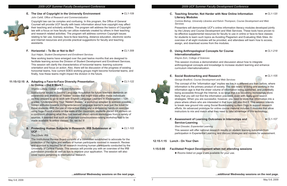#### **E. The Use of Copyright in the University Environment ►***CL1-109*

*John Cahill, Office of Research and Commercialization* 



Copyright law can be complex and confusing. In this program, the Office of General Counsel will provide UCF faculty with basic information about how copyright may affect their teaching and scholarly activities. The program will address the basics of Copyright law with a focus on how faculty can utilize materials created by others in their teaching and research related activities. The program will address common Copyright issues relating to fair use, licenses, face-to-face teaching, distance education, electronic works and Internet resources and provide practical suggestions for faculty and teaching assistants.

### **F. Horizontal – To Be or Not to Be? ►***CL1-309*

*Suzi Halpin, Student Development and Enrollment Services*

New working teams have emerged over the past twelve months that are designed to facilitate learning across the Division of Student Development and Enrollment Services. This session will clarify the characteristics of horizontal teams: learning outcome orientation and focus on action. Also, there will be discussion of the progress of existing horizontal teams, how current SDES working groups might become horizontal teams, and finally, how these teams might impact the division in the future.

#### **11:15-12:15 A. Adapting a Face-to-Face Diversity Presentation**

**to Online – Did It Work?**

**►***CL1-122*

*Virginia Ludwig, College of Arts and Humanities*

Instructional issues in Second Language Acquisition for future teachers demands an awareness and analysis of "hidden" biases that might exist within these individuals as they prepare to go to work with English Language Learners in Kindergarten – 12th grades. "Understanding Your 'Hidden' Biases," a workshop adapted to address possible hidden attitudes towards immigrants/second language learners, was just the ticket for these students. With the use of interactive dialog and a stimulating hands-on exercise using huge Post-It sheets on the walls of the classroom, students placed dot stickers on a continuum showing what they had learned about various stereotypes from a variety of sources. It seemed that such an important consciousness-raising workshop had to be made available to online classes. So, we did it!

#### **B. Protecting Human Subjects in Research: IRB Submission at UCF**

**►***CL1-103*

### *Tracy Dietz, IRB*

The Institutional Review Board consists of a committee established to advocate for the protection of the rights and welfare of human participants involved in research. Review and approval is required for all research involving human participants conducted by the University of Central Florida. This session will provide you with an overview of the IRB submission process as well as tips to improve your application. The session will also cover topics pertaining to international research.

### **C. Teaching Smarter, Not Harder with New Online Information Literacy Modules**

**►***CL1-120*

*Corinne Bishop, University Libraries and Kelvin Thompson, Course Development and Web* 

### **nt when not attending sessions**

*Services*

Presenters will demonstrate UCF's online information literacy modules developed jointly by the Library and Course Development and Web Services. These tools have proven to be effective supplemental resources for faculty to use in online or face-to-face classes for students to learn such topics as Avoiding Plagiarism and Evaluating Web Sites. An overview of all eight modules will be provided, and attendees will learn how to access, assign, and download scores from the modules.

### **D. Using Anthropological Concepts for Course Internationalization**

**►***CL1-218*

*Elayne Zorn, College of Sciences*

This session involves a demonstration and discussion about how to integrate anthropological concepts and knowledge to increase student learning and enhance curriculum internationalization.

#### **E. Social Bookmarking and Research ►***CL1-105*



# *George Bradford, Course Development and Web Services*

The concept of the "information age" implies we live in a different era than before, where information is the primary product of society. The raw reality of living and working in the information age is that the sheer volume of information being published, and potentially being accessible through the Internet, is so large that it is becoming increasingly more likely that you will not find the information you need, even with really good search strategies. When you are successful, however, you need to store that information into a place where others who are interested in that topic will also find it. This session intends to break new ground into using Social Bookmarking system Diigo to support research efforts. An advanced prototype for online course material includes 5 modules that allow instructors to mix and match what they need to take advantage of this technology.

### **F. Assessment of Learning Outcomes in Internships and Service-Learning**

**►***CL1-107*

*Sheri Dressler, Experiential Learning* This session will offer national research results on student learning outcomes from participation in Experiential Learning and discuss strategies and models for assessment.

|               | 12:15-1:15    Lunch - On Your Own     |
|---------------|---------------------------------------|
| $1:15 - 5:00$ | <b>Facilitated Project Developmer</b> |
|               | Rooms listed on page 2 are a          |

*►Rooms listed on page 2 are available for your use*.

**...additional Wednesday sessions on the next page. ...additional Wednesday sessions on the next page.**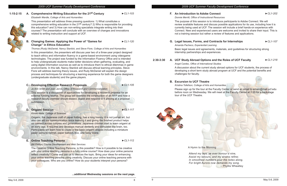# **1:15-2:15 A. Comprehensive Writing Education for the 21st Century** *►CL1-103*

*Elizabeth Wardle, College of Arts and Humanities*

This presentation will address three pressing questions: 1) What constitutes a comprehensive writing education in the 21<sup>st</sup> century? 2) Who is responsible for providing this education? and 3) How can non-writing specialists integrate writing into their courses? The presentation will conclude with an overview of changes and innovations related to writing instruction and support at UCF.

**B. Changing Games: Applying the Power of "Games for Change" in Ethics Education**

*►CL1-120*

*Thomas (Rudy) McDaniel, Nancy Stanlick, and Steve Fiore, College of Arts and Humanities*

#### In this presentation, the presenters will discuss year two of a three-year project designed to teach ethics and information fluency in a game-based environment using videogame technologies. The project was funded by the Information Fluency Office and is intended to help undergraduate students make better decisions when gathering, evaluating, and using digital information sources as well as to introduce them to ethical dilemmas in game environments. In this talk, Nancy Stanlick will discuss ethical learning principles, Steve Fiore will address learning theory issues, and Rudy McDaniel will explain the design process and techniques for structuring a learning experience for both the game designers (undergraduate students) and the game players.

### **C. Developing Effective Research Proposals** *►CL1-105*

*Jo Ann Smith and Joan Jarvis, Office of Research and Commercialization*

This session is a discussion of approaches for developing a research proposal for an external funding source. The group will examine the construction of an RFP and how a research faculty member should dissect, digest and respond to it arriving at a proposal submission.

## **D. Origami Session** *►CL1-117*

#### *Kimiko Akita, College of Sciences*

Please sign up for the tour at the Faculty Center or send an email to emain@mail.ucf.edu before noon on Wednesday. We will meet at the Faculty Center at 2:20 for a backstage tour of the UCF Theatre.





Origami, the Japanese craft of paper folding, has a long history. It is not just an art, but also can aid our communication since learning it and giving the finished product helps us connect across cultures and generations. Japanese children start to learn origami at an early age. It requires and develops manual dexterity and stimulates the brain, too. Participants will learn how to create a few basic origami shapes including a miniature paper samurai helmet, paper balloon, box, and lucky crane.

### **E. Online Teaching Persona** *►CL1-112*

*Bill Phillips, Course Development and Web Services*

The Creative Online Teaching Persona, is this possible? How is it possible to be creative with your online teaching persona in a fully online course? How does your online persona reflect creativity? Come and join us to discuss the topic. Bring your ideas for enhancing your online teaching persona using creativity. Discuss your online teaching persona with your colleagues. Who are you online? How do your students interpret your persona?

### **F. An Introduction to Adobe Connect** *►CL1-202*

*Donnie Merritt, Office of Instructional Resources*

The purpose of this session is to introduce participants to Adobe Connect. We will review available features and discuss possible applications for its use, including how it is currently being used at UCF. The session will include a brief hands-on experience with Connect. New and experienced users are welcome and invited to share their input. This is not a training session but rather a review of features and applications.

### **G. Legal Issues, Forms, and Contracts for Internships** *►CL1-107*

*Amanda Pacheco, Experiential Learning* Basic legal issues and agreements, materials, and guidelines for structuring strong internship partnerships and experiences.

# **2:30-3:30 A. UCF Study Abroad Options and the Roles of UCF Faculty** *►CL1-218*

*Angel Cardec, Office of International Studies*

A discussion about the current study abroad options for UCF students, the process of developing a short term study abroad program at UCF and the potential benefits and challenges for faculty.

# **B. Excursion to UCF Theatre**

*Kristina Tollefson, College of Arts and Humanities*

#### **...additional Wednesday sessions on the next page.**

A Hymn to the Morning

 *Attend my lays, ye ever honour'd nine, Assist my labours, and my strains refine; In smoothest numbers pour the notes along, For bright Aurora now demands my song.* – Phyllis Wheatley

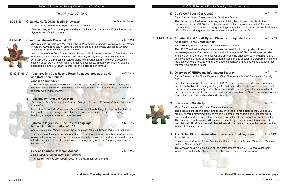*Thursday, May 7, 2009*

| 8:00-8:30 | <b>Creativity Café: Digital Media Showcase</b>                                                                                                                                                                                                                         | $\blacktriangleright$ CL1-104 Lobby |  |
|-----------|------------------------------------------------------------------------------------------------------------------------------------------------------------------------------------------------------------------------------------------------------------------------|-------------------------------------|--|
|           | Thomas (Rudy) McDaniel, College of Arts and Humanities                                                                                                                                                                                                                 |                                     |  |
|           | Selected images from undergraduate digital media student projects in Digital Interactive<br>Systems and Visual Language.                                                                                                                                               |                                     |  |
| 8:45-9:45 | <b>Core Commitments Project at UCF</b>                                                                                                                                                                                                                                 | $\blacktriangleright$ CL1-104       |  |
|           | Alison Morrison-Shetlar, Vice Provost and Dean, Undergraduate Studies; Martha Marinara, College<br>of Arts and Humanities; Nancy Stanlick, College of Arts and Humanities; Bernadette Jungblut,<br><b>Student Development and Enrollment Services</b>                  |                                     |  |
|           | A discussion of the Core Commitments Project at UCF-an examination of five dimensions<br>of personal and social responsibility for students, faculty, staff, and administrators.<br>An overview of the project is provided along with a Question and Answer/Discussion |                                     |  |



There are multiple viable options for capturing your PowerPoint lecture as a video, with you narrating each slide in real time. These videos can then be uploaded to Webcourses to share with your students.

# An overview of the project is provided along with a Question and Answer/Discussion session about UCF's next steps in promoting excellence, integrity, community, diverse

perspectives, and ethical and moral reasoning across our campus.

#### **10:00-11:00 A. "Lectures in a Can: Record PowerPoint Lectures as a Movie and Host Them Online"**

*►CL1-104*

*Kevin Yee, Faculty Center*

### **B. Teaching for A Whole New Mind** *►CL1-103*

*Tace Crouse, Faculty Center ; Rita Graham, College of Sciences; Ali Korosy, College of Arts and Humanities*

Daniel Pink's book *A Whole New Mind* claims the future belongs to those with aptitudes for symphony, play, design, empathy, story, and meaning. Join us in experiencing teaching strategies based on these "senses."

### **C. ¿Cómo lo logramos? - The Role of Language in the Internationalization of UCF**

*►CL1-218*

First, this session will offer a review of FERPA, how it applies to students and parents and its implications for faculty working with students and student records. Second, it will review information security at UCF, how it impacts the handling of information, what the risks or threats are, and how we can protect from these threats. Also, in the event there is a security breach, what should one do about it.

*Denise Gammonley, Debora Cordeiro-Rosa, and Maria Redmon, College of Arts and Humanities* This session entails a discussion about how to integrate a language other than English in a way that supports course and curriculum internationalization. The discussion will include interdisciplinary collaborations, intensive language programs and "languages across the curriculum."

# **D. Service-Learning Research Agenda** *►CL1-109*

The popular perception about doing research in the scientific fields is that, unless you are Mr. Wizard performing "How to Make a Lightbulb" for children, the research work does not demand creativity. However, a creative intellect is important to every discipline. The presenters in this panel will discuss the creativity necessary to doing research in their fields–Political Science and Chemistry–and how they encourage that same creative intellect in their students.

*Melody Bowdon, College of Arts and Humanites*

The session will explore current research trends in service-learning.

# **E. Can't We All Just Get Along?** *►CL1-309*

*Sarah Oleksy, Student Development and Enrollment Services* The discussion will address the emergence of living/learning communities in the residence halls at UCF. Topics of discussion will include current "hot topics" for these communities, how to develop a living learning community, and how faculty and Residence Life staff can work together to make these communities successful.

#### **11:15-12:15 A. Ah! Aha! Haha! Creativity and Diversity through the Lens of Keostler's Three Creative Acts** *►CL1-309*

*Patricia Pates, Student Development and Enrollment Services*

The UCF Creed value, Creativity, declares the tenet: I will use my talents to enrich the human experience. Can creativity be found in homogeneity? To unleash creative talent is to step out of the "box," to discover and embrace the unexpected, to understand and acknowledge the many dimensions of humanness. In this session, be prepared to explore the development of creativity and to engage in interactive mind-stretching activities that will free your creative talent.

# **B. Overview of FERPA and Information Security** *►CL1-105*

*Dennis Dulniak and Paul Viau, Registrar's Office; Chris Vakhordjian, UCF Information Security Officer*

# **C. Science and Creativity** *►CL1-103*

*Martin Dupuis and Mike Hampton, College of Sciences*

### **D. The Global Classroom Initiative: Successes, Challenges and Possibilities**

*►CL1-218*

*Richard Cornell, College of Education; Martha Garcia, College of Arts and Humanities; Houman* 

*Sadri, College of Sciences*

This session entails a discussion of the achievements of the UCF Global Classroom initiative, as well as the challenges of technologies, policies and pedagogies.



**...additional Thursday sessions on the next page. ...additional Thursday sessions on the next page.**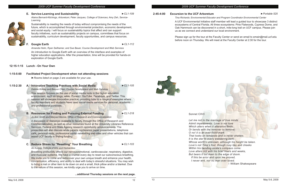#### **E. Service-Learning and Sustainability** *►CL1-109*

*Alaina Bernard-Kitchings, Arboretum; Peter Jacques, College of Sciences; Amy Zeh, Service-Learning*

Sustainability is meeting the needs of today without compromising the needs of the future, which is accomplished through environmental protection, economic development,

and social equity. I will focus on sustainability topics that affect and can support



faculty initiatives, such as sustainability projects on campus, committees that focus on sustainability, curriculum development, faculty opportunities, and campus resources.

#### **F. Google Earth** *►CL1-112*

This session focuses on the use of social media tools in the higher education environment, such as blogs, wikis, iTunesU, YouTube, Facebook, and Twitter. This session will showcase innovative practice, providing links to a range of examples where faculty members and students have used social media services for personal, academic and professional purposes.

*Amanda Holm, Ryan Seilhamer, and Sue Bauer, Course Development and Web Services* An introduction to Google Earth with an overview of the interface and examples of higher education applications. After the presentation, time will be provided for hands-on exploration of Google Earth.

**12:15-1:15 Lunch - On Your Own**



#### **1:15-2:30 A. Innovative Teaching Practices with Social Media** *►CL1-105*

*Debbie Kirkley and Baiyun Chen, Course Development and Web Services*

### **B. Resources for Finding and Pursuing External Funding** *►CL1-218*

*Jo Ann Smith and Marysol Murcia, Office of Research and Commercialization* 

A discussion of resources available to faculty through the Office of Research and Commercialization, as well as other resources found at the University Libraries Reference Services, Federal and State Agency research opportunity announcements. The presenters will also discuss white papers, conference paper presentations, telephone calls, personal visits, professional social networking web sites and other vehicles that can assist UCF faculty in finding funding.

#### **C. Reduce Stress by "Resetting" Your Breathing** *►CL1-103*

*Ali Korosy, College of Arts and Humanities*

Breathing profoundly affects our nervous/emotional, cardiovascular, respiratory, digestive, and muscular systems. We have a chance every day to reset our subconscious breathing. We invite you to come and rediscover your own unique breath and enhance your health, concentration, efficiency, and ability to deal with today's stressful situations. You may wish to bring a mat or other item to lie down on and a small, thick pillow and/or a blanket. Due to the nature of this session, we kindly urge you to arrive on time.

#### **2:45-4:00 Excursion to the UCF Arboretum** *►Portable 525*

*Tina Richards: Environmental Educator and Program Coordinator Environmental Center* A UCF Environmental Initiative staff member will lead a guided tour to showcase 3 distinct ecosystems of Central Florida. All three ecosystems: Pine Flatwoods, Cypress Dome, and Oak Hammock can be discovered in a short, mile-long trail on UCF campus. Please join us as we connect and understand our local environment.

Please sign up for the tour at the Faculty Center or send an email to emain@mail.ucf.edu before noon on Thursday. We will meet at the Faculty Center at 2:30 for the tour.



#### **...additional Thursday sessions on the next page.**

Sonnet CXVI

*Let me not to the marriage of true minds Admit impediments. Love is not love Which alters when it alteration finds, Or bends with the remover to remove: O no! it is an ever-fixed mark That looks on tempests and is never shaken; It is the star to every wandering bark, Whose worth's unknown, although his height be taken. Love's not Time's fool, though rosy lips and cheeks Within his bending sickle's compass come: Love alters not with his brief hours and weeks, But bears it out even to the edge of doom. If this be error and upon me proved, I never writ, nor no man ever loved.* – William Shakespeare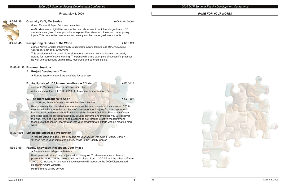









Friday, May 8, 2009

#### **8:00-8:30 Creativity Café; Me Stories ►***CL1-104 Lobby*

*Robert Kenney, College of Arts and Humanities*

**meStories** was a digital film competition and showcase in which undergraduate UCF students were given the opportunity to express their views and ideas on contemporary topics. This competition was open to currently enrolled undergraduate students.

### **8:45-9:45 Recapturing Our Awe of the World** *►CL1-104*

*Michele Meyer, Director of Community Engagement, Rollins College, and Mary Ann Eastep, College of Health and Public Affairs*

This session entails a panel discussion about combining service-learning and study abroad for more effective learning. The panel will share examples of successful practices, as well as suggestions on planning, resources and potential pitfalls.

#### **10:00-11:30 Breakout Sessions**

#### **A. Project Development Time**

*►Rooms listed on page 2 are available for your use*.

### **B. An Update of UCF Internationalization Efforts ►***CL1-218*

*Consuelo Stebbins, Office of Internationalization*

A discussion of the UCF 2009-2010 Strategic Internationalization Plan.

### **C. The Right Questions to Ask? ►***CL1-309*

*Jimmy Moore, Student Development and Enrollment Services*

Ready to really find out what your students are learning outside of the classroom? This session will take you to the next level of assessment techniques for non-classroom learning environments such as Residence Halls, Student Activities, Recreation Center and other extra/co-curricular activities. Beyond survey's and Pre/post, you will discover the who, why and how of the right questions to ask through creative measurement techniques that can be incorporated into your programmatic efforts without creating more work!

### **11:30-1:30 Lunch and Showcase Preparation**

*►Rooms listed on page 2 are available for your use as well as the Faculty Center*. \*Please turn in your completed activity cards to the Faculty Center.

### **1:30-3:00 Faculty Showcase, Reception, Door Prizes**

**►***Student Union - Pegasus Ballroom*

Participants will share their projects with colleagues. To allow everyone a chance to present the work, half the projects will be displayed from 1:30-2:05 and the other half from 2:00-2:30. Included in this year's showcase we will recognize the 2009 Distinguished Research Award Winners.

Refreshments will be served.

#### *PAGE FOR YOUR NOTES*